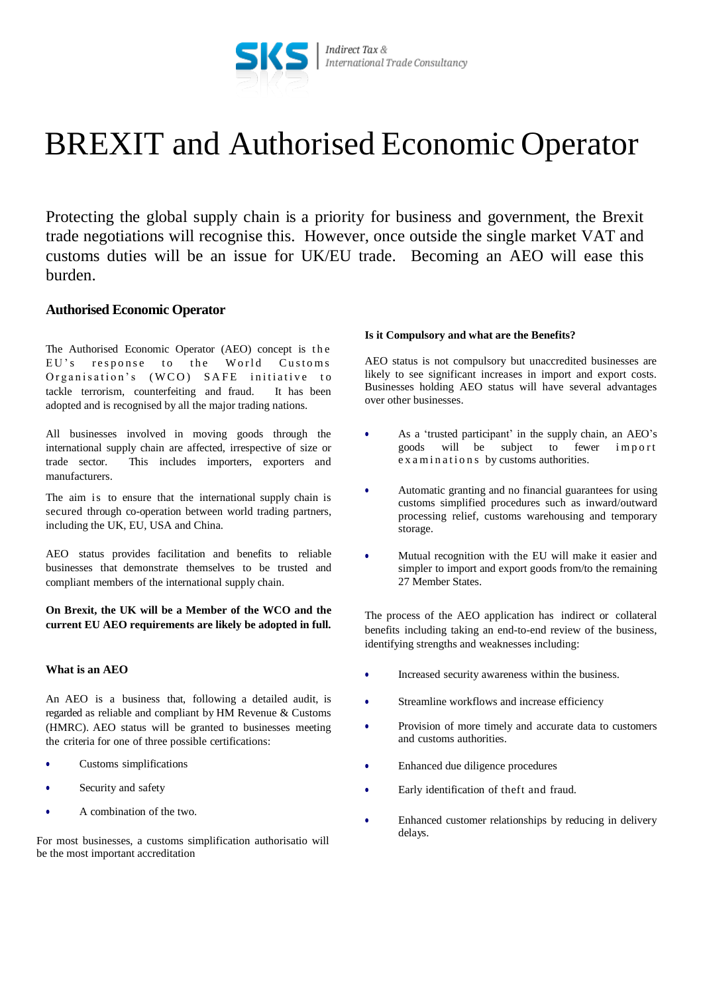

# BREXIT and Authorised Economic Operator

Protecting the global supply chain is a priority for business and government, the Brexit trade negotiations will recognise this. However, once outside the single market VAT and customs duties will be an issue for UK/EU trade. Becoming an AEO will ease this burden.

# **Authorised Economic Operator**

The Authorised Economic Operator (AEO) concept is the EU's response to the World Customs Organisation's (WCO) SAFE initiative to tackle terrorism, counterfeiting and fraud. It has been adopted and is recognised by all the major trading nations.

All businesses involved in moving goods through the international supply chain are affected, irrespective of size or trade sector. This includes importers, exporters and manufacturers.

The aim is to ensure that the international supply chain is secured through co-operation between world trading partners, including the UK, EU, USA and China.

AEO status provides facilitation and benefits to reliable businesses that demonstrate themselves to be trusted and compliant members of the international supply chain.

**On Brexit, the UK will be a Member of the WCO and the current EU AEO requirements are likely be adopted in full.**

### **What is an AEO**

An AEO is a business that, following a detailed audit, is regarded as reliable and compliant by HM Revenue & Customs (HMRC). AEO status will be granted to businesses meeting the criteria for one of three possible certifications:

- Customs simplifications
- Security and safety
- A combination of the two.

For most businesses, a customs simplification authorisatio will be the most important accreditation

#### **Is it Compulsory and what are the Benefits?**

AEO status is not compulsory but unaccredited businesses are likely to see significant increases in import and export costs. Businesses holding AEO status will have several advantages over other businesses.

- As a 'trusted participant' in the supply chain, an AEO's goods will be subject to fewer import e x a m in a tions by customs authorities.
- Automatic granting and no financial guarantees for using customs simplified procedures such as inward/outward processing relief, customs warehousing and temporary storage.
- Mutual recognition with the EU will make it easier and simpler to import and export goods from/to the remaining 27 Member States.

The process of the AEO application has indirect or collateral benefits including taking an end-to-end review of the business, identifying strengths and weaknesses including:

- Increased security awareness within the business.
- Streamline workflows and increase efficiency
- Provision of more timely and accurate data to customers and customs authorities.
- Enhanced due diligence procedures
- Early identification of theft and fraud.
- Enhanced customer relationships by reducing in delivery delays.